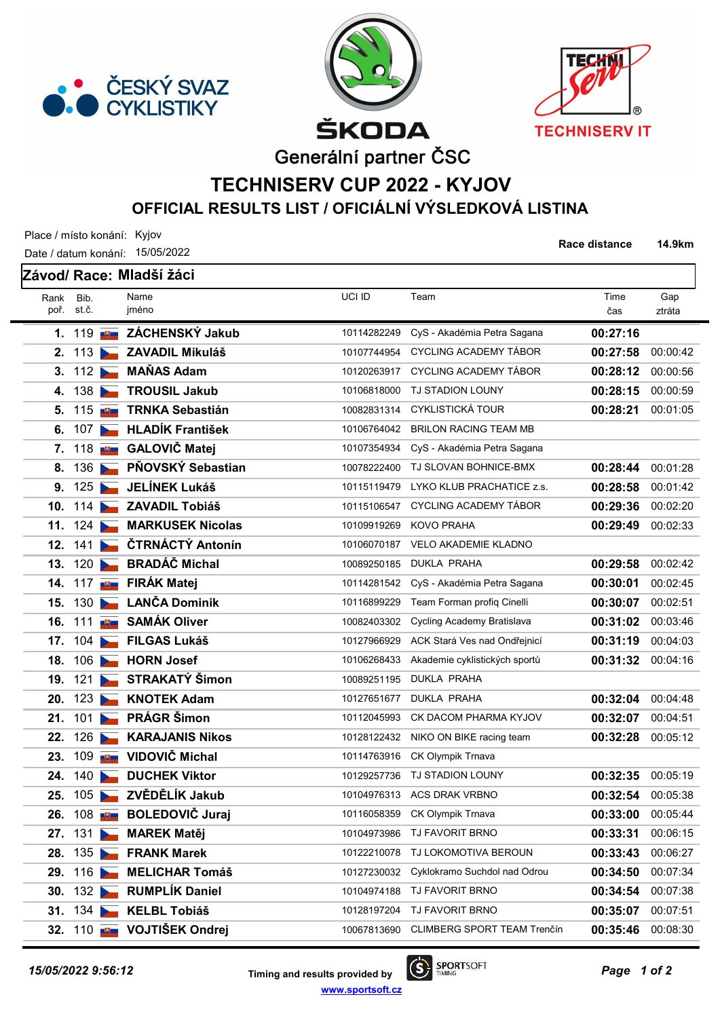





Race distance 14.9km

Generální partner ČSC

## TECHNISERV CUP 2022 - KYJOV OFFICIAL RESULTS LIST / OFICIÁLNÍ VÝSLEDKOVÁ LISTINA

Place / místo konání: Kyjov

Date / datum konání: 15/05/2022 Bib. Name VCI ID Závod/ Race: Mladší žáci Team poř. st.č. iméno Rank čas Time ztráta Gap 1. 119 **Juli ZÁCHENSKÝ Jakub** 10114282249 CyS - Akadémia Petra Sagana **00:27:16** 2. 113 **ZAVADIL Mikuláš** 10107744954 CYCLING ACADEMY TÁBOR **00:27:58** 00:00:42 3. 112 MAŇAS Adam 10120263917 CYCLING ACADEMY TÁBOR 00:28:12 00:00:56 **4.** 138 TROUSIL Jakub 10106818000 TJ STADION LOUNY 00:28:15 00:00:59 5. 115 **Igy TRNKA Sebastián** 10082831314 CYKLISTICKÁ TOUR **115 100:28:21** 00:01:05 6. 107 HLADÍK František 10106764042 BRILON RACING TEAM MB 7. 118 **ED GALOVIČ Matei** 10107354934 CyS - Akadémia Petra Sagana 8. 136 PŇOVSKÝ Sebastian 10078222400 TJ SLOVAN BOHNICE-BMX 00:28:44 00:01:28 9. 125 JELÍNEK Lukáš 10115119479 LYKO KLUB PRACHATICE z.s. 00:28:58 00:01:42 10. 114 ZAVADIL Tobiáš 10115106547 CYCLING ACADEMY TÁBOR 101:29:36 00:02:20 11. 124 MARKUSEK Nicolas 10109919269 KOVO PRAHA 00:29:49 00:02:33 12. 141 CTRNÁCTÝ Antonín 10106070187 VELO AKADEMIE KLADNO 13. 120 BRADÁČ Michal 10089250185 DUKLA PRAHA 120 00:29:58 00:02:42 14. 117 **IDEN FIRÁK Matej** 10114281542 CyS - Akadémia Petra Sagana **00:30:01** 00:02:45 15. 130 LANČA Dominik 10116899229 Team Forman profiq Cinelli 00:30:07 00:02:51 **16.** 111 **ID SAMÁK Oliver** 10082403302 Cycling Academy Bratislava **00:31:02** 00:03:46 17. 104 FILGAS Lukáš 10127966929 ACK Stará Ves nad Ondřejnicí **00:31:19** 00:04:03 18. 106 **HORN Josef** 10106268433 Akademie cyklistických sportů **00:31:32** 00:04:16 19. 121 STRAKATÝ Šimon 10089251195 DUKLA PRAHA **20. 123 | KNOTEK Adam 10127651677 DUKLA PRAHA 00:32:04 00:04:48 21. 101 RAGR Šimon 10112045993 CK DACOM PHARMA KYJOV 00:32:07 00:04:51 22.** 126 KARAJANIS Nikos 10128122432 NIKO ON BIKE racing team **00:32:28** 00:05:12 23. 109 UDOVIČ Michal 10114763916 CK Olympik Trnava **24. 140 DUCHEK Viktor 10129257736 TJ STADION LOUNY 00:32:35 00:05:19 25. 105 2VĚDĚLÍK Jakub 10104976313 ACS DRAK VRBNO 00:32:54 00:05:38 26.** 108 **BOLEDOVIČ Juraj** 10116058359 CK Olympik Trnava **00:33:00** 00:05:44 **27.** 131 MILLER Matěj 10104973986 TJ FAVORIT BRNO 100:33:31 00:06:15 **28. 135 FRANK Marek 10122210078 TJ LOKOMOTIVA BEROUN 00:33:43 00:06:27 29. 116 MELICHAR Tomáš** 10127230032 Cyklokramo Suchdol nad Odrou **00:34:50** 00:07:34 **30. 132 NE RUMPLÍK Daniel 10104974188 TJ FAVORIT BRNO 100:34:54 00:07:38** 31. 134 KELBL Tobiáš 10128197204 TJ FAVORIT BRNO 100:35:07 00:07:51 32. 110 **IO VOJTIŠEK Ondrej** 10067813690 CLIMBERG SPORT TEAM Trenčín **00:35:46** 00:08:30

15/05/2022 9:56:12 **15/05/2022 9:56:12** Timing and results provided by  $S^{\text{P}$  SPORTSOFT **Page 1 of 2** www.sportsoft.cz